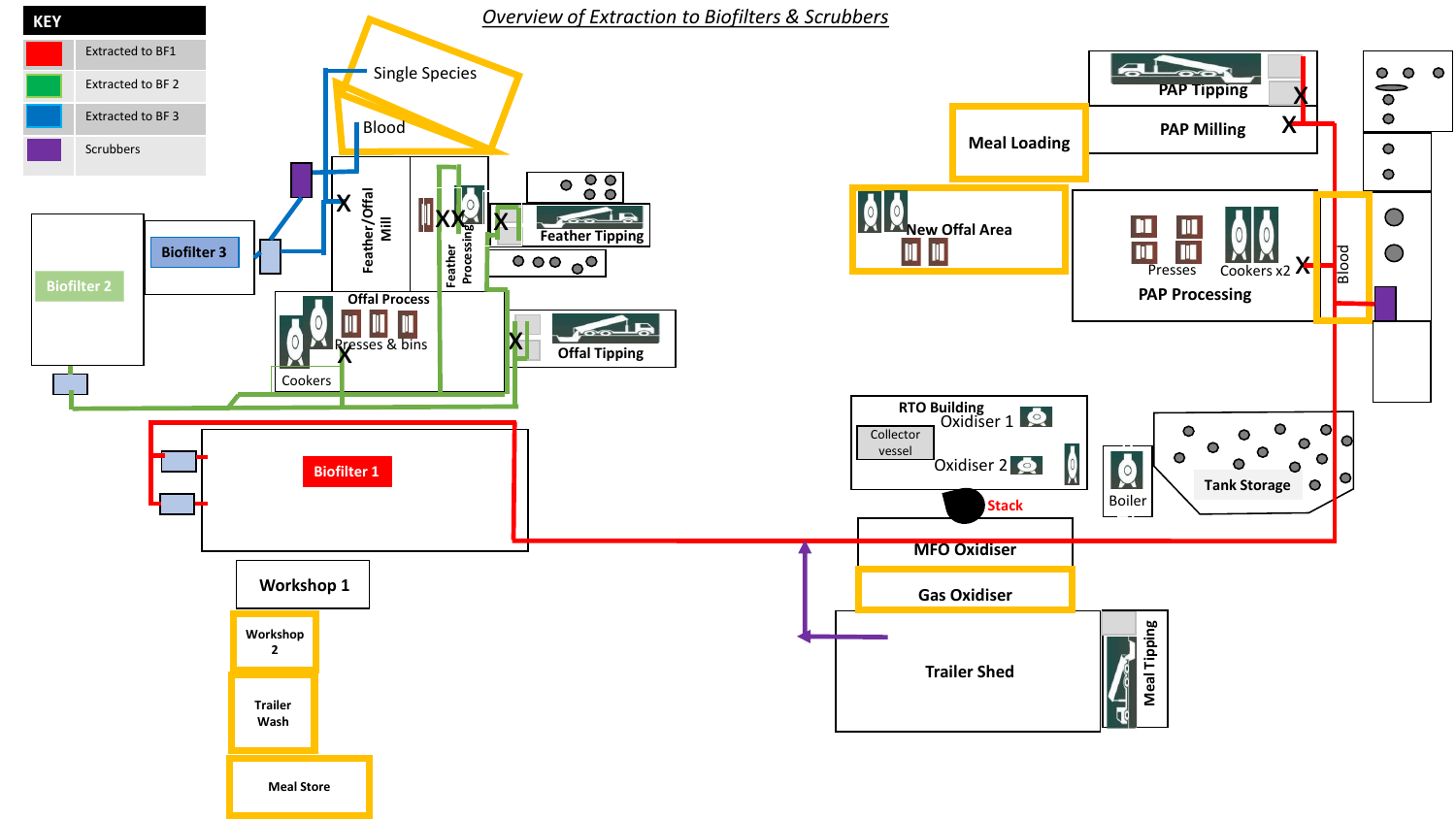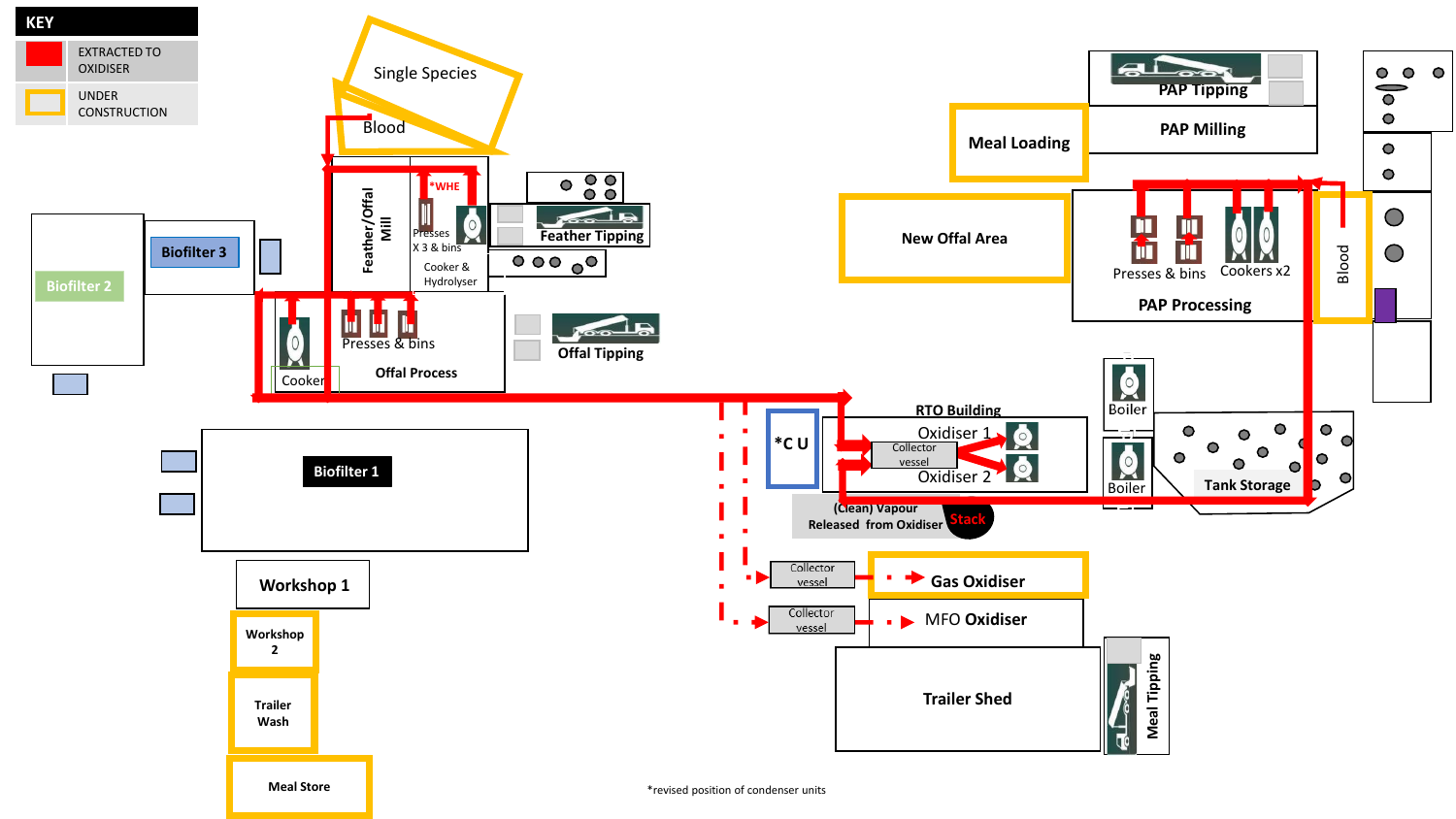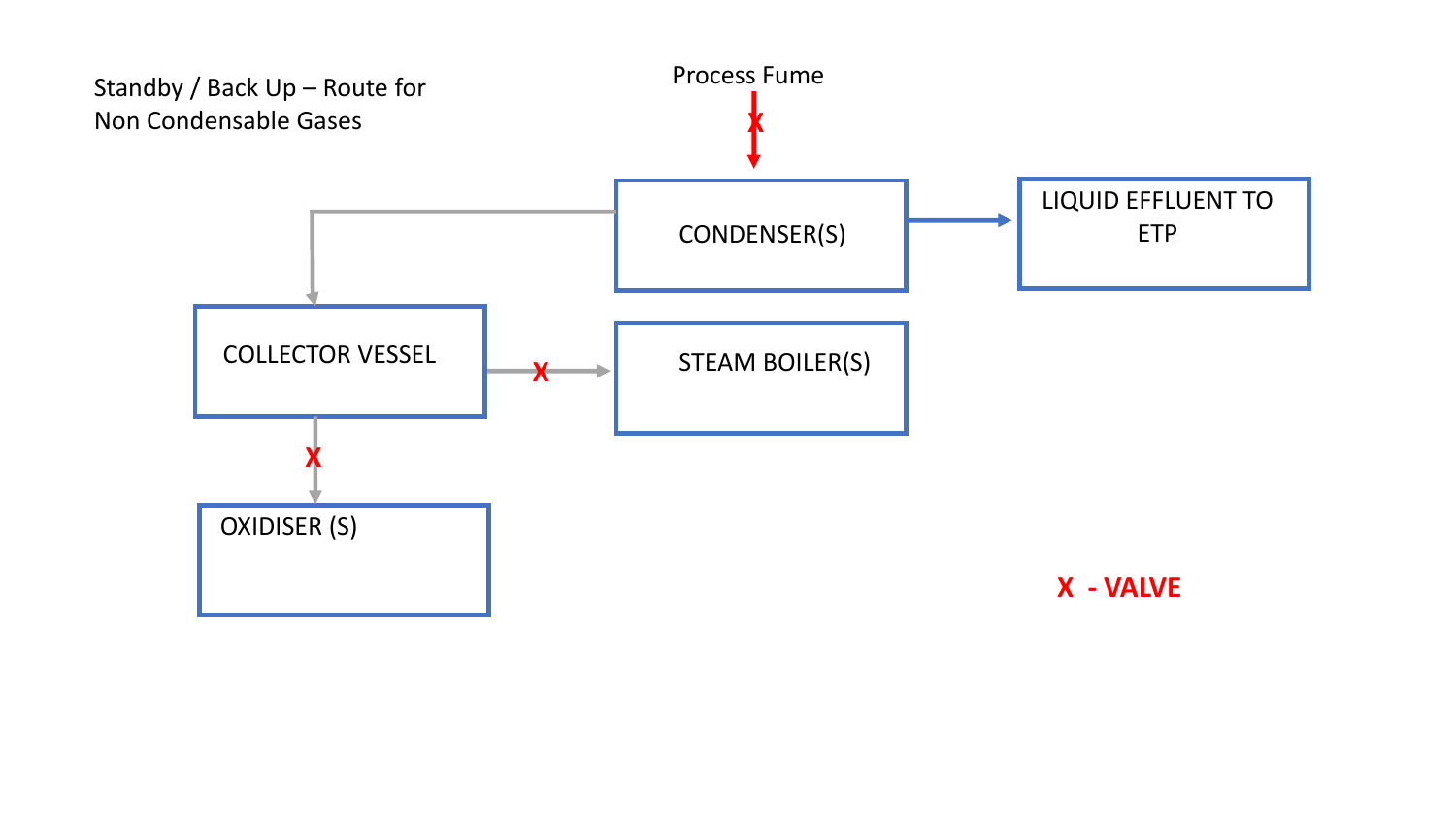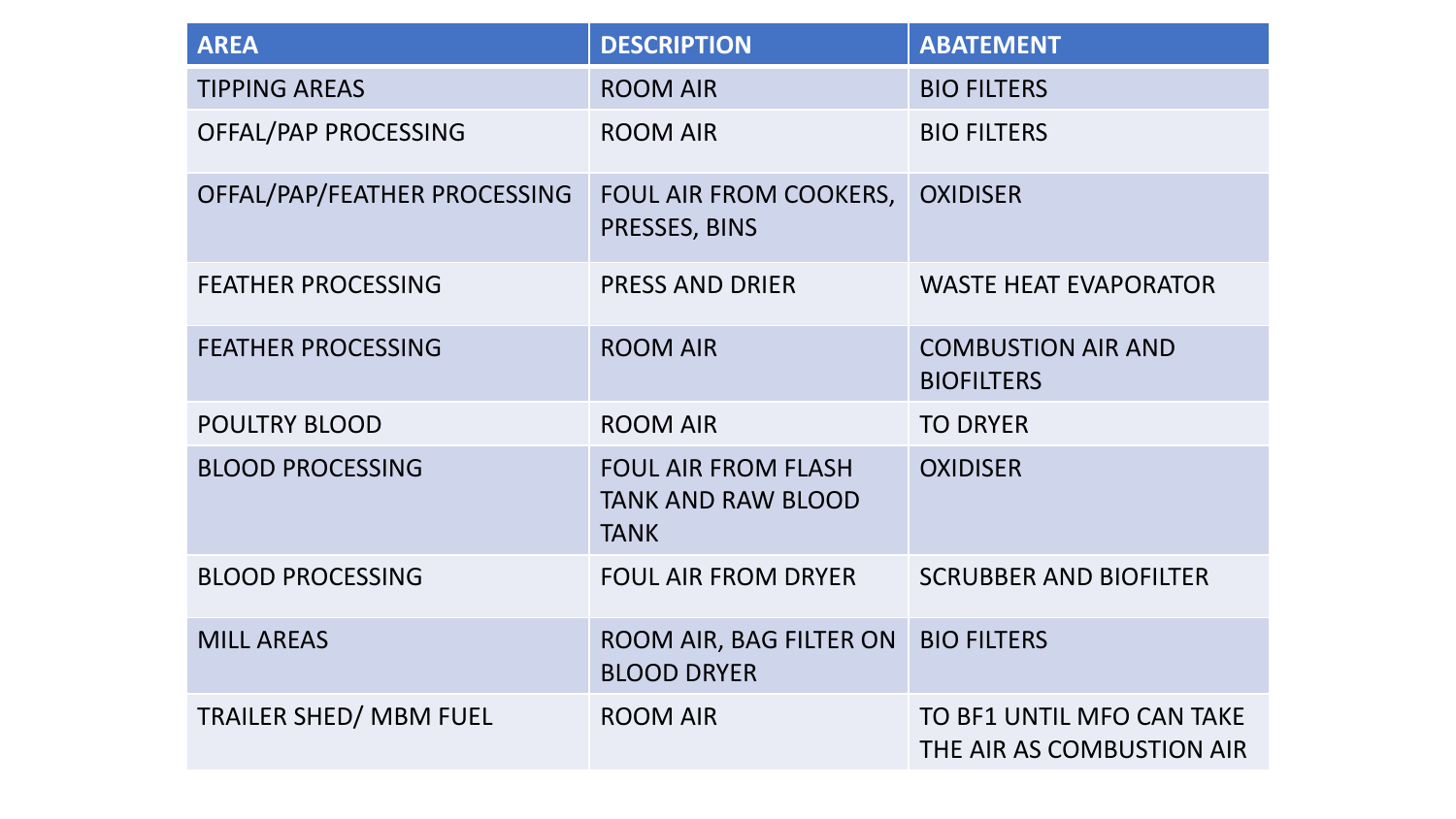| <b>AREA</b>                   | <b>DESCRIPTION</b>                                                     | <b>ABATEMENT</b>                                       |
|-------------------------------|------------------------------------------------------------------------|--------------------------------------------------------|
| <b>TIPPING AREAS</b>          | <b>ROOM AIR</b>                                                        | <b>BIO FILTERS</b>                                     |
| OFFAL/PAP PROCESSING          | <b>ROOM AIR</b>                                                        | <b>BIO FILTERS</b>                                     |
| OFFAL/PAP/FEATHER PROCESSING  | FOUL AIR FROM COOKERS,<br>PRESSES, BINS                                | <b>OXIDISER</b>                                        |
| <b>FEATHER PROCESSING</b>     | <b>PRESS AND DRIER</b>                                                 | <b>WASTE HEAT EVAPORATOR</b>                           |
| <b>FEATHER PROCESSING</b>     | <b>ROOM AIR</b>                                                        | <b>COMBUSTION AIR AND</b><br><b>BIOFILTERS</b>         |
| <b>POULTRY BLOOD</b>          | <b>ROOM AIR</b>                                                        | <b>TO DRYER</b>                                        |
| <b>BLOOD PROCESSING</b>       | <b>FOUL AIR FROM FLASH</b><br><b>TANK AND RAW BLOOD</b><br><b>TANK</b> | <b>OXIDISER</b>                                        |
| <b>BLOOD PROCESSING</b>       | <b>FOUL AIR FROM DRYER</b>                                             | <b>SCRUBBER AND BIOFILTER</b>                          |
| <b>MILL AREAS</b>             | ROOM AIR, BAG FILTER ON<br><b>BLOOD DRYER</b>                          | <b>BIO FILTERS</b>                                     |
| <b>TRAILER SHED/ MBM FUEL</b> | <b>ROOM AIR</b>                                                        | TO BF1 UNTIL MFO CAN TAKE<br>THE AIR AS COMBUSTION AIR |